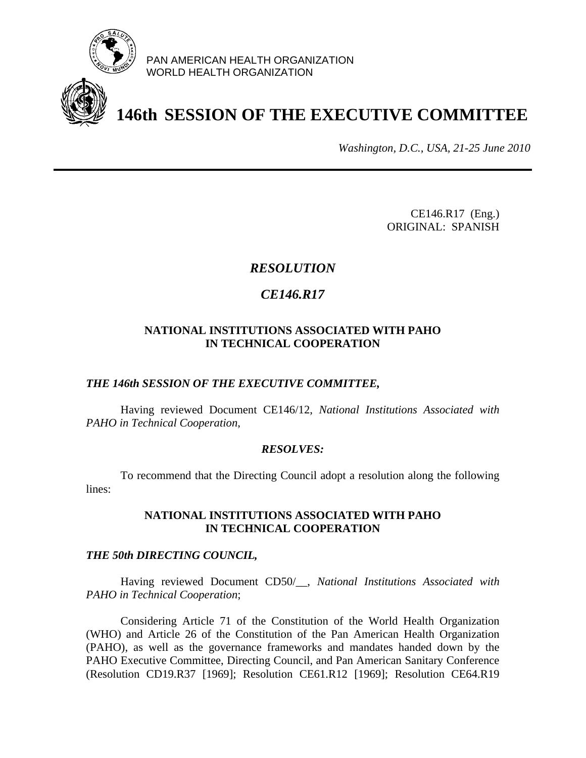

PAN AMERICAN HEALTH ORGANIZATION WORLD HEALTH ORGANIZATION

# **146th SESSION OF THE EXECUTIVE COMMITTEE**

*Washington, D.C., USA, 21-25 June 2010*

CE146.R17 (Eng.) ORIGINAL: SPANISH

# *RESOLUTION*

# *CE146.R17*

## **NATIONAL INSTITUTIONS ASSOCIATED WITH PAHO IN TECHNICAL COOPERATION**

### *THE 146th SESSION OF THE EXECUTIVE COMMITTEE,*

Having reviewed Document CE146/12, *National Institutions Associated with PAHO in Technical Cooperation*,

#### *RESOLVES:*

 To recommend that the Directing Council adopt a resolution along the following lines:

### **NATIONAL INSTITUTIONS ASSOCIATED WITH PAHO IN TECHNICAL COOPERATION**

#### *THE 50th DIRECTING COUNCIL,*

Having reviewed Document CD50/\_\_, *National Institutions Associated with PAHO in Technical Cooperation*;

Considering Article 71 of the Constitution of the World Health Organization (WHO) and Article 26 of the Constitution of the Pan American Health Organization (PAHO), as well as the governance frameworks and mandates handed down by the PAHO Executive Committee, Directing Council, and Pan American Sanitary Conference (Resolution CD19.R37 [1969]; Resolution CE61.R12 [1969]; Resolution CE64.R19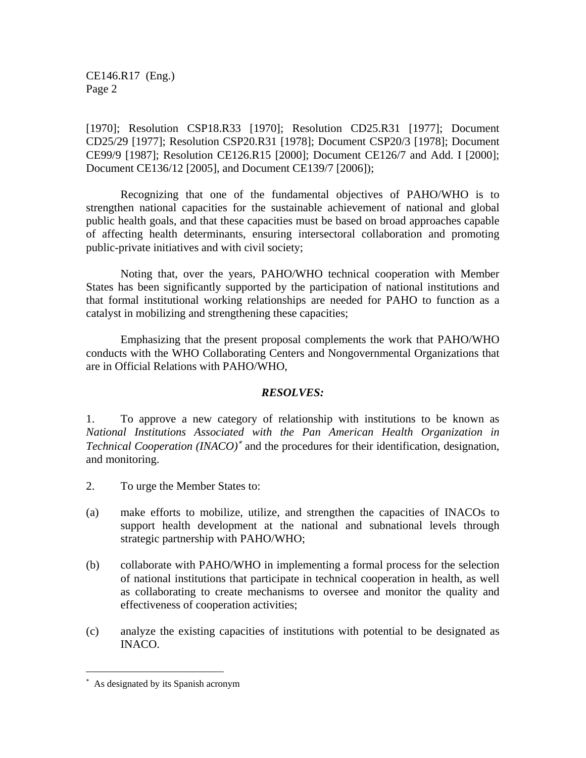CE146.R17 (Eng.) Page 2

[1970]; Resolution CSP18.R33 [1970]; Resolution CD25.R31 [1977]; Document CD25/29 [1977]; Resolution CSP20.R31 [1978]; Document CSP20/3 [1978]; Document CE99/9 [1987]; Resolution CE126.R15 [2000]; Document CE126/7 and Add. I [2000]; Document CE136/12 [2005], and Document CE139/7 [2006]);

Recognizing that one of the fundamental objectives of PAHO/WHO is to strengthen national capacities for the sustainable achievement of national and global public health goals, and that these capacities must be based on broad approaches capable of affecting health determinants, ensuring intersectoral collaboration and promoting public-private initiatives and with civil society;

Noting that, over the years, PAHO/WHO technical cooperation with Member States has been significantly supported by the participation of national institutions and that formal institutional working relationships are needed for PAHO to function as a catalyst in mobilizing and strengthening these capacities;

Emphasizing that the present proposal complements the work that PAHO/WHO conducts with the WHO Collaborating Centers and Nongovernmental Organizations that are in Official Relations with PAHO/WHO,

## *RESOLVES:*

1. To approve a new category of relationship with institutions to be known as *National Institutions Associated with the Pan American Health Organization in Technical Cooperation (INACO)*<sup>∗</sup> and the procedures for their identification, designation, and monitoring.

- 2. To urge the Member States to:
- (a) make efforts to mobilize, utilize, and strengthen the capacities of INACOs to support health development at the national and subnational levels through strategic partnership with PAHO/WHO;
- (b) collaborate with PAHO/WHO in implementing a formal process for the selection of national institutions that participate in technical cooperation in health, as well as collaborating to create mechanisms to oversee and monitor the quality and effectiveness of cooperation activities;
- (c) analyze the existing capacities of institutions with potential to be designated as INACO.

 $\overline{a}$ 

<sup>∗</sup> As designated by its Spanish acronym